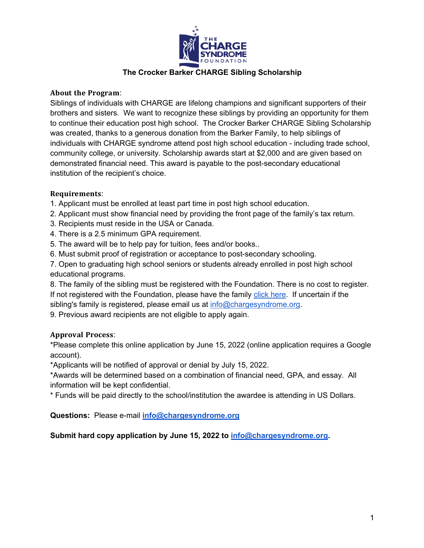

# **The Crocker Barker CHARGE Sibling Scholarship**

## **About the Program:**

Siblings of individuals with CHARGE are lifelong champions and significant supporters of their brothers and sisters. We want to recognize these siblings by providing an opportunity for them to continue their education post high school. The Crocker Barker CHARGE Sibling Scholarship was created, thanks to a generous donation from the Barker Family, to help siblings of individuals with CHARGE syndrome attend post high school education - including trade school, community college, or university. Scholarship awards start at \$2,000 and are given based on demonstrated financial need. This award is payable to the post-secondary educational institution of the recipient's choice.

## Requirements:

- 1. Applicant must be enrolled at least part time in post high school education.
- 2. Applicant must show financial need by providing the front page of the family's tax return.
- 3. Recipients must reside in the USA or Canada.
- 4. There is a 2.5 minimum GPA requirement.
- 5. The award will be to help pay for tuition, fees and/or books..
- 6. Must submit proof of registration or acceptance to post-secondary schooling.

7. Open to graduating high school seniors or students already enrolled in post high school educational programs.

8. The family of the sibling must be registered with the Foundation. There is no cost to register. If not registered with the Foundation, please have the family click here. If uncertain if the sibling's family is registered, please email us at info@chargesyndrome.org.

9. Previous award recipients are not eligible to apply again.

## **Approval Process:**

\*Please complete this online application by June 15, 2022 (online application requires a Google account).

\*Applicants will be notified of approval or denial by July 15, 2022.

\*Awards will be determined based on a combination of financial need, GPA, and essay. All information will be kept confidential.

\* Funds will be paid directly to the school/institution the awardee is attending in US Dollars.

**Questions:** Please e-mail **info@chargesyndrome.org**

**Submit hard copy application by June 15, 2022 to info@chargesyndrome.org.**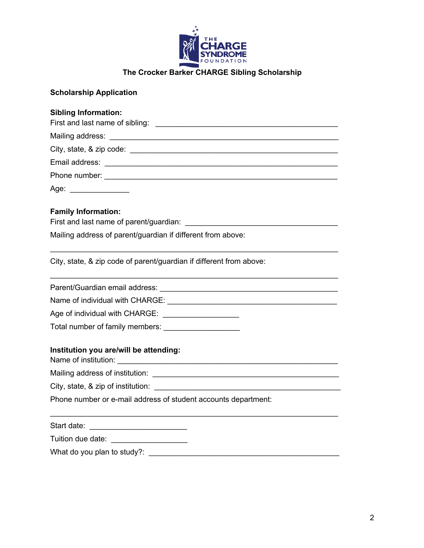

**The Crocker Barker CHARGE Sibling Scholarship**

## **Scholarship Application**

#### **Sibling Information:**

| Phone number: and the state of the state of the state of the state of the state of the state of the state of the state of the state of the state of the state of the state of the state of the state of the state of the state |
|--------------------------------------------------------------------------------------------------------------------------------------------------------------------------------------------------------------------------------|
|                                                                                                                                                                                                                                |

 $\mathcal{L}_\text{max} = \mathcal{L}_\text{max} = \mathcal{L}_\text{max} = \mathcal{L}_\text{max} = \mathcal{L}_\text{max} = \mathcal{L}_\text{max} = \mathcal{L}_\text{max} = \mathcal{L}_\text{max} = \mathcal{L}_\text{max} = \mathcal{L}_\text{max} = \mathcal{L}_\text{max} = \mathcal{L}_\text{max} = \mathcal{L}_\text{max} = \mathcal{L}_\text{max} = \mathcal{L}_\text{max} = \mathcal{L}_\text{max} = \mathcal{L}_\text{max} = \mathcal{L}_\text{max} = \mathcal{$ 

 $\mathcal{L}_\mathcal{L} = \mathcal{L}_\mathcal{L} = \mathcal{L}_\mathcal{L} = \mathcal{L}_\mathcal{L} = \mathcal{L}_\mathcal{L} = \mathcal{L}_\mathcal{L} = \mathcal{L}_\mathcal{L} = \mathcal{L}_\mathcal{L} = \mathcal{L}_\mathcal{L} = \mathcal{L}_\mathcal{L} = \mathcal{L}_\mathcal{L} = \mathcal{L}_\mathcal{L} = \mathcal{L}_\mathcal{L} = \mathcal{L}_\mathcal{L} = \mathcal{L}_\mathcal{L} = \mathcal{L}_\mathcal{L} = \mathcal{L}_\mathcal{L}$ 

 $\mathcal{L}_\text{max} = \mathcal{L}_\text{max} = \mathcal{L}_\text{max} = \mathcal{L}_\text{max} = \mathcal{L}_\text{max} = \mathcal{L}_\text{max} = \mathcal{L}_\text{max} = \mathcal{L}_\text{max} = \mathcal{L}_\text{max} = \mathcal{L}_\text{max} = \mathcal{L}_\text{max} = \mathcal{L}_\text{max} = \mathcal{L}_\text{max} = \mathcal{L}_\text{max} = \mathcal{L}_\text{max} = \mathcal{L}_\text{max} = \mathcal{L}_\text{max} = \mathcal{L}_\text{max} = \mathcal{$ 

Age: \_\_\_\_\_\_\_\_\_\_\_\_\_\_

## **Family Information:**

First and last name of parent/guardian: \_\_\_\_\_\_\_\_\_\_\_\_\_\_\_\_\_\_\_\_\_\_\_\_\_\_\_\_\_\_\_\_\_\_\_\_

Mailing address of parent/guardian if different from above:

City, state, & zip code of parent/guardian if different from above:

Parent/Guardian email address: \_\_\_\_\_\_\_\_\_\_\_\_\_\_\_\_\_\_\_\_\_\_\_\_\_\_\_\_\_\_\_\_\_\_\_\_\_\_\_\_\_\_

Name of individual with CHARGE:  $\blacksquare$ 

Age of individual with CHARGE: \_\_\_\_\_\_\_\_\_\_\_\_\_\_\_\_\_\_

Total number of family members:

## **Institution you are/will be attending:**

Name of institution: \_\_\_\_\_\_\_\_\_\_\_\_\_\_\_\_\_\_\_\_\_\_\_\_\_\_\_\_\_\_\_\_\_\_\_\_\_\_\_\_\_\_\_\_\_\_\_\_\_\_\_\_

Mailing address of institution: \_\_\_\_\_\_\_\_\_\_\_\_\_\_\_\_\_\_\_\_\_\_\_\_\_\_\_\_\_\_\_\_\_\_\_\_\_\_\_\_\_\_\_\_

City, state, & zip of institution:

Phone number or e-mail address of student accounts department:

| Start date: |  |
|-------------|--|
|             |  |

What do you plan to study?: